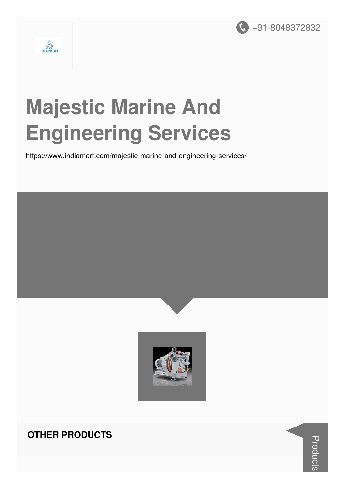



# **Majestic Marine And Engineering Services**

https://www.indiamart.com/majestic-marine-and-engineering-services/





#### **OTHER PRODUCTS**

**Products**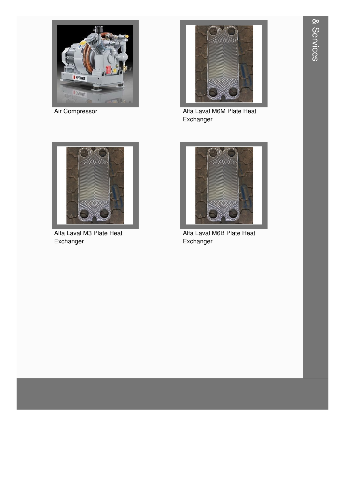

Air Compressor



Alfa Laval M6M Plate Heat Exchanger



Alfa Laval M3 Plate Heat Exchanger



Alfa Laval M6B Plate Heat Exchanger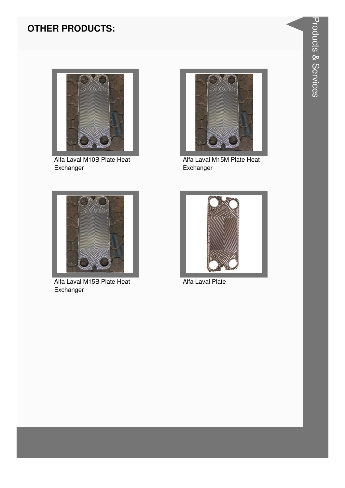

Alfa Laval M10B Plate Heat Exchanger



Alfa Laval M15M Plate Heat Exchanger



Alfa Laval M15B Plate Heat Exchanger



Alfa Laval Plate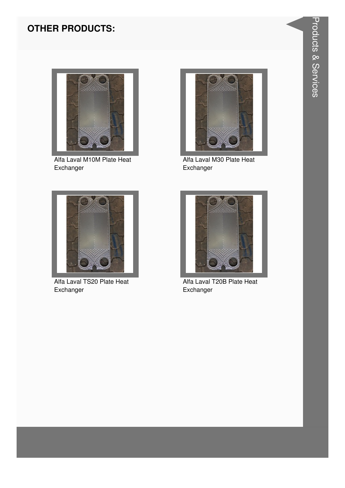

Alfa Laval M10M Plate Heat Exchanger



Alfa Laval M30 Plate Heat Exchanger



Alfa Laval TS20 Plate Heat Exchanger



Alfa Laval T20B Plate Heat Exchanger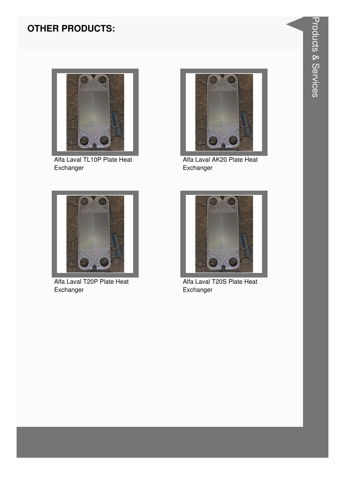

Alfa Laval TL10P Plate Heat Exchanger



Alfa Laval AK20 Plate Heat Exchanger



Alfa Laval T20P Plate Heat Exchanger



Alfa Laval T20S Plate Heat Exchanger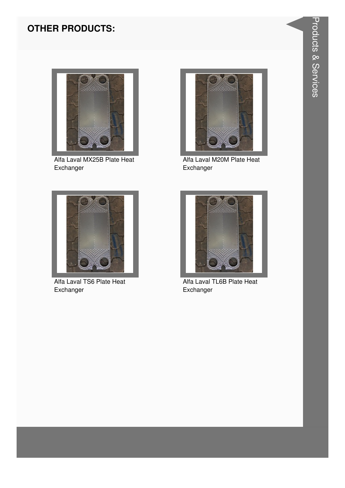

Alfa Laval MX25B Plate Heat Exchanger



Alfa Laval M20M Plate Heat Exchanger



Alfa Laval TS6 Plate Heat Exchanger



Alfa Laval TL6B Plate Heat Exchanger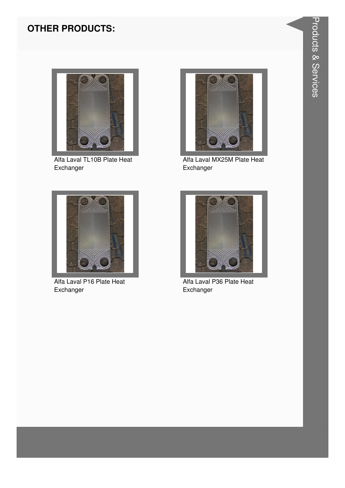

Alfa Laval TL10B Plate Heat Exchanger



Alfa Laval MX25M Plate Heat Exchanger



Alfa Laval P16 Plate Heat Exchanger



Alfa Laval P36 Plate Heat Exchanger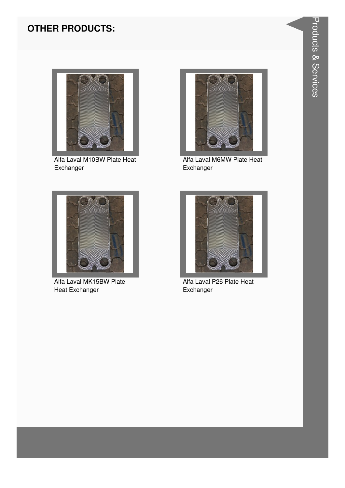

Alfa Laval M10BW Plate Heat Exchanger



Alfa Laval M6MW Plate Heat Exchanger



Alfa Laval MK15BW Plate **Heat Exchanger** 



Alfa Laval P26 Plate Heat Exchanger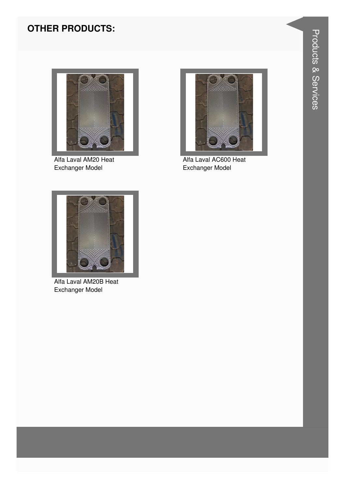

Alfa Laval AM20 Heat Exchanger Model



Alfa Laval AC600 Heat Exchanger Model



Alfa Laval AM20B Heat Exchanger Model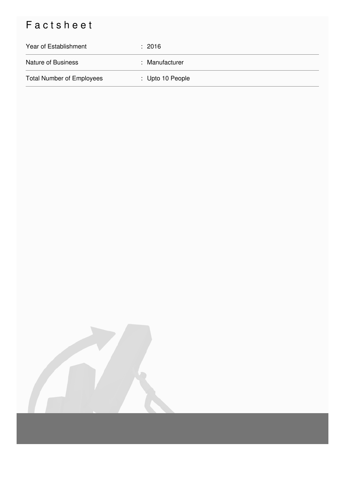# Factsheet

| Year of Establishment            | $\div$ 2016      |
|----------------------------------|------------------|
| <b>Nature of Business</b>        | : Manufacturer   |
| <b>Total Number of Employees</b> | : Upto 10 People |